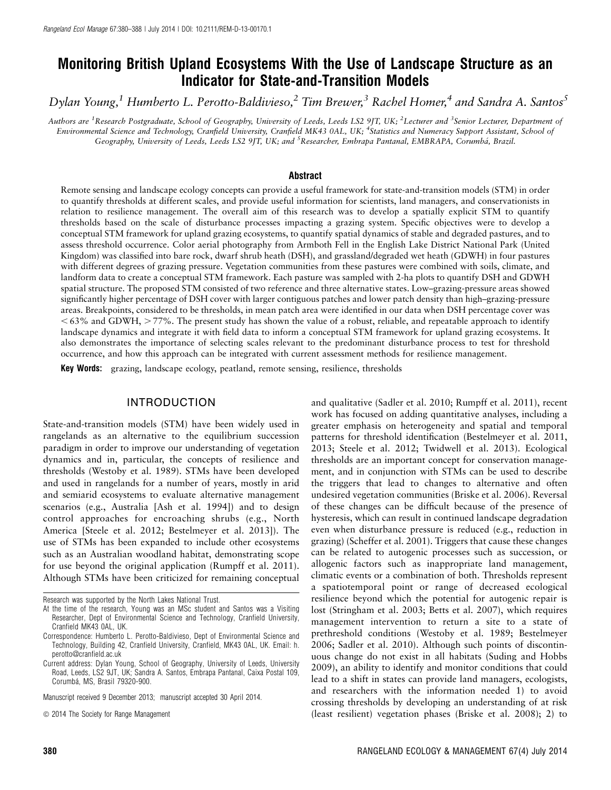# Monitoring British Upland Ecosystems With the Use of Landscape Structure as an Indicator for State-and-Transition Models

Dylan Young,<sup>1</sup> Humberto L. Perotto-Baldivieso,<sup>2</sup> Tim Brewer,<sup>3</sup> Rachel Homer,<sup>4</sup> and Sandra A. Santos<sup>5</sup>

Authors are <sup>1</sup>Research Postgraduate, School of Geography, University of Leeds, Leeds LS2 9JT, UK; <sup>2</sup>Lecturer and <sup>3</sup>Senior Lecturer, Department of Environmental Science and Technology, Cranfield University, Cranfield MK43 0AL, UK; <sup>4</sup>Statistics and Numeracy Support Assistant, School of Geography, University of Leeds, Leeds LS2 9JT, UK; and <sup>5</sup>Researcher, Embrapa Pantanal, EMBRAPA, Corumbá, Brazil.

#### Abstract

Remote sensing and landscape ecology concepts can provide a useful framework for state-and-transition models (STM) in order to quantify thresholds at different scales, and provide useful information for scientists, land managers, and conservationists in relation to resilience management. The overall aim of this research was to develop a spatially explicit STM to quantify thresholds based on the scale of disturbance processes impacting a grazing system. Specific objectives were to develop a conceptual STM framework for upland grazing ecosystems, to quantify spatial dynamics of stable and degraded pastures, and to assess threshold occurrence. Color aerial photography from Armboth Fell in the English Lake District National Park (United Kingdom) was classified into bare rock, dwarf shrub heath (DSH), and grassland/degraded wet heath (GDWH) in four pastures with different degrees of grazing pressure. Vegetation communities from these pastures were combined with soils, climate, and landform data to create a conceptual STM framework. Each pasture was sampled with 2-ha plots to quantify DSH and GDWH spatial structure. The proposed STM consisted of two reference and three alternative states. Low–grazing-pressure areas showed significantly higher percentage of DSH cover with larger contiguous patches and lower patch density than high–grazing-pressure areas. Breakpoints, considered to be thresholds, in mean patch area were identified in our data when DSH percentage cover was  $<$  63% and GDWH,  $>$  77%. The present study has shown the value of a robust, reliable, and repeatable approach to identify landscape dynamics and integrate it with field data to inform a conceptual STM framework for upland grazing ecosystems. It also demonstrates the importance of selecting scales relevant to the predominant disturbance process to test for threshold occurrence, and how this approach can be integrated with current assessment methods for resilience management.

Key Words: grazing, landscape ecology, peatland, remote sensing, resilience, thresholds

### INTRODUCTION

State-and-transition models (STM) have been widely used in rangelands as an alternative to the equilibrium succession paradigm in order to improve our understanding of vegetation dynamics and in, particular, the concepts of resilience and thresholds (Westoby et al. 1989). STMs have been developed and used in rangelands for a number of years, mostly in arid and semiarid ecosystems to evaluate alternative management scenarios (e.g., Australia [Ash et al. 1994]) and to design control approaches for encroaching shrubs (e.g., North America [Steele et al. 2012; Bestelmeyer et al. 2013]). The use of STMs has been expanded to include other ecosystems such as an Australian woodland habitat, demonstrating scope for use beyond the original application (Rumpff et al. 2011). Although STMs have been criticized for remaining conceptual

Manuscript received 9 December 2013; manuscript accepted 30 April 2014.

and qualitative (Sadler et al. 2010; Rumpff et al. 2011), recent work has focused on adding quantitative analyses, including a greater emphasis on heterogeneity and spatial and temporal patterns for threshold identification (Bestelmeyer et al. 2011, 2013; Steele et al. 2012; Twidwell et al. 2013). Ecological thresholds are an important concept for conservation management, and in conjunction with STMs can be used to describe the triggers that lead to changes to alternative and often undesired vegetation communities (Briske et al. 2006). Reversal of these changes can be difficult because of the presence of hysteresis, which can result in continued landscape degradation even when disturbance pressure is reduced (e.g., reduction in grazing) (Scheffer et al. 2001). Triggers that cause these changes can be related to autogenic processes such as succession, or allogenic factors such as inappropriate land management, climatic events or a combination of both. Thresholds represent a spatiotemporal point or range of decreased ecological resilience beyond which the potential for autogenic repair is lost (Stringham et al. 2003; Betts et al. 2007), which requires management intervention to return a site to a state of prethreshold conditions (Westoby et al. 1989; Bestelmeyer 2006; Sadler et al. 2010). Although such points of discontinuous change do not exist in all habitats (Suding and Hobbs 2009), an ability to identify and monitor conditions that could lead to a shift in states can provide land managers, ecologists, and researchers with the information needed 1) to avoid crossing thresholds by developing an understanding of at risk (least resilient) vegetation phases (Briske et al. 2008); 2) to

Research was supported by the North Lakes National Trust.

At the time of the research, Young was an MSc student and Santos was a Visiting Researcher, Dept of Environmental Science and Technology, Cranfield University, Cranfield MK43 0AL, UK.

Correspondence: Humberto L. Perotto-Baldivieso, Dept of Environmental Science and Technology, Building 42, Cranfield University, Cranfield, MK43 0AL, UK. Email: h. perotto@cranfield.ac.uk

Current address: Dylan Young, School of Geography, University of Leeds, University Road, Leeds, LS2 9JT, UK; Sandra A. Santos, Embrapa Pantanal, Caixa Postal 109, Corumbá, MS, Brasil 79320-900.

 $\odot$  2014 The Society for Range Management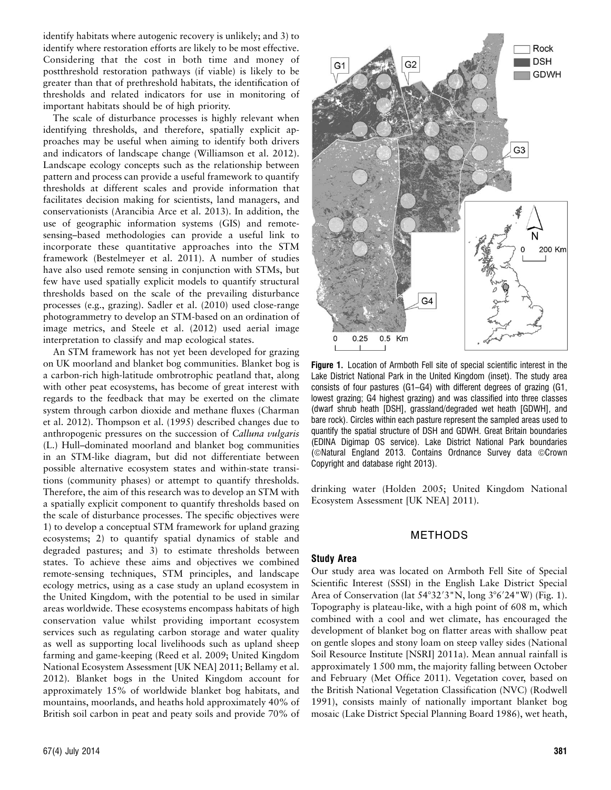identify habitats where autogenic recovery is unlikely; and 3) to identify where restoration efforts are likely to be most effective. Considering that the cost in both time and money of postthreshold restoration pathways (if viable) is likely to be greater than that of prethreshold habitats, the identification of thresholds and related indicators for use in monitoring of important habitats should be of high priority.

The scale of disturbance processes is highly relevant when identifying thresholds, and therefore, spatially explicit approaches may be useful when aiming to identify both drivers and indicators of landscape change (Williamson et al. 2012). Landscape ecology concepts such as the relationship between pattern and process can provide a useful framework to quantify thresholds at different scales and provide information that facilitates decision making for scientists, land managers, and conservationists (Arancibia Arce et al. 2013). In addition, the use of geographic information systems (GIS) and remotesensing–based methodologies can provide a useful link to incorporate these quantitative approaches into the STM framework (Bestelmeyer et al. 2011). A number of studies have also used remote sensing in conjunction with STMs, but few have used spatially explicit models to quantify structural thresholds based on the scale of the prevailing disturbance processes (e.g., grazing). Sadler et al. (2010) used close-range photogrammetry to develop an STM-based on an ordination of image metrics, and Steele et al. (2012) used aerial image interpretation to classify and map ecological states.

An STM framework has not yet been developed for grazing on UK moorland and blanket bog communities. Blanket bog is a carbon-rich high-latitude ombrotrophic peatland that, along with other peat ecosystems, has become of great interest with regards to the feedback that may be exerted on the climate system through carbon dioxide and methane fluxes (Charman et al. 2012). Thompson et al. (1995) described changes due to anthropogenic pressures on the succession of Calluna vulgaris (L.) Hull–dominated moorland and blanket bog communities in an STM-like diagram, but did not differentiate between possible alternative ecosystem states and within-state transitions (community phases) or attempt to quantify thresholds. Therefore, the aim of this research was to develop an STM with a spatially explicit component to quantify thresholds based on the scale of disturbance processes. The specific objectives were 1) to develop a conceptual STM framework for upland grazing ecosystems; 2) to quantify spatial dynamics of stable and degraded pastures; and 3) to estimate thresholds between states. To achieve these aims and objectives we combined remote-sensing techniques, STM principles, and landscape ecology metrics, using as a case study an upland ecosystem in the United Kingdom, with the potential to be used in similar areas worldwide. These ecosystems encompass habitats of high conservation value whilst providing important ecosystem services such as regulating carbon storage and water quality as well as supporting local livelihoods such as upland sheep farming and game-keeping (Reed et al. 2009; United Kingdom National Ecosystem Assessment [UK NEA] 2011; Bellamy et al. 2012). Blanket bogs in the United Kingdom account for approximately 15% of worldwide blanket bog habitats, and mountains, moorlands, and heaths hold approximately 40% of British soil carbon in peat and peaty soils and provide 70% of



Figure 1. Location of Armboth Fell site of special scientific interest in the Lake District National Park in the United Kingdom (inset). The study area consists of four pastures (G1–G4) with different degrees of grazing (G1, lowest grazing; G4 highest grazing) and was classified into three classes (dwarf shrub heath [DSH], grassland/degraded wet heath [GDWH], and bare rock). Circles within each pasture represent the sampled areas used to quantify the spatial structure of DSH and GDWH. Great Britain boundaries (EDINA Digimap OS service). Lake District National Park boundaries (©Natural England 2013. Contains Ordnance Survey data ©Crown Copyright and database right 2013).

drinking water (Holden 2005; United Kingdom National Ecosystem Assessment [UK NEA] 2011).

#### METHODS

#### Study Area

Our study area was located on Armboth Fell Site of Special Scientific Interest (SSSI) in the English Lake District Special Area of Conservation (lat 54°32′3"N, long 3°6′24"W) (Fig. 1). Topography is plateau-like, with a high point of 608 m, which combined with a cool and wet climate, has encouraged the development of blanket bog on flatter areas with shallow peat on gentle slopes and stony loam on steep valley sides (National Soil Resource Institute [NSRI] 2011a). Mean annual rainfall is approximately 1 500 mm, the majority falling between October and February (Met Office 2011). Vegetation cover, based on the British National Vegetation Classification (NVC) (Rodwell 1991), consists mainly of nationally important blanket bog mosaic (Lake District Special Planning Board 1986), wet heath,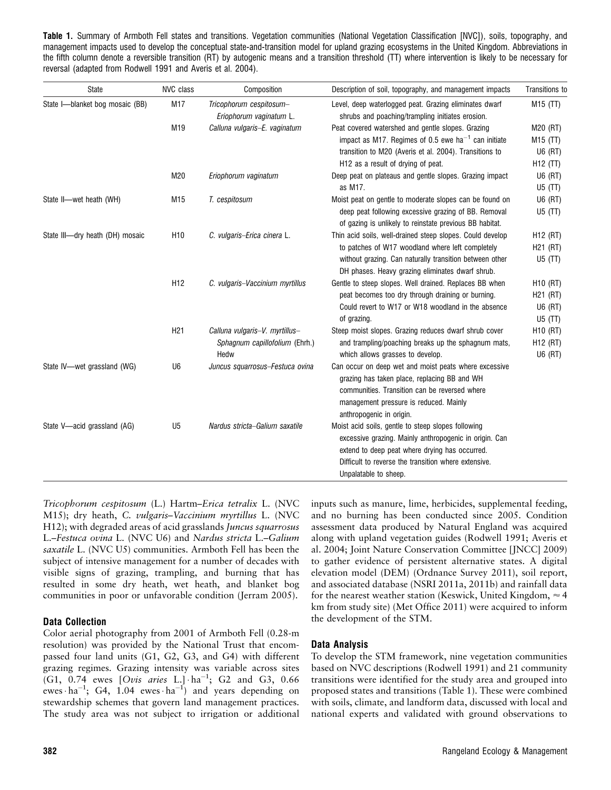Table 1. Summary of Armboth Fell states and transitions. Vegetation communities (National Vegetation Classification [NVC]), soils, topography, and management impacts used to develop the conceptual state-and-transition model for upland grazing ecosystems in the United Kingdom. Abbreviations in the fifth column denote a reversible transition (RT) by autogenic means and a transition threshold (TT) where intervention is likely to be necessary for reversal (adapted from Rodwell 1991 and Averis et al. 2004).

| <b>State</b>                    | <b>NVC</b> class | Composition                                        | Description of soil, topography, and management impacts                                                                                                                                                                                         | Transitions to       |
|---------------------------------|------------------|----------------------------------------------------|-------------------------------------------------------------------------------------------------------------------------------------------------------------------------------------------------------------------------------------------------|----------------------|
| State I-blanket bog mosaic (BB) | M17              | Tricophorum cespitosum-<br>Eriophorum vaginatum L. | Level, deep waterlogged peat. Grazing eliminates dwarf<br>shrubs and poaching/trampling initiates erosion.                                                                                                                                      | M15 (TT)             |
|                                 | M19              | Calluna vulgaris-E. vaginatum                      | Peat covered watershed and gentle slopes. Grazing                                                                                                                                                                                               | M20 (RT)             |
|                                 |                  |                                                    | impact as M17. Regimes of 0.5 ewe ha <sup>-1</sup> can initiate                                                                                                                                                                                 | M <sub>15</sub> (TT) |
|                                 |                  |                                                    | transition to M20 (Averis et al. 2004). Transitions to                                                                                                                                                                                          | U6 (RT)              |
|                                 |                  |                                                    | H <sub>12</sub> as a result of drying of peat.                                                                                                                                                                                                  | $H12$ (TT)           |
|                                 | M20              | Eriophorum vaginatum                               | Deep peat on plateaus and gentle slopes. Grazing impact<br>as M17.                                                                                                                                                                              | U6 (RT)<br>U5(TT)    |
| State II-wet heath (WH)         | M15              | T. cespitosum                                      | Moist peat on gentle to moderate slopes can be found on                                                                                                                                                                                         | U6 (RT)              |
|                                 |                  |                                                    | deep peat following excessive grazing of BB. Removal<br>of gazing is unlikely to reinstate previous BB habitat.                                                                                                                                 | $U5$ (TT)            |
| State III-dry heath (DH) mosaic | H <sub>10</sub>  | C. vulgaris-Erica cinera L.                        | Thin acid soils, well-drained steep slopes. Could develop                                                                                                                                                                                       | H <sub>12</sub> (RT) |
|                                 |                  |                                                    | to patches of W17 woodland where left completely                                                                                                                                                                                                | H21 (RT)             |
|                                 |                  |                                                    | without grazing. Can naturally transition between other<br>DH phases. Heavy grazing eliminates dwarf shrub.                                                                                                                                     | $U5$ (TT)            |
|                                 | H <sub>12</sub>  | C. vulgaris-Vaccinium myrtillus                    | Gentle to steep slopes. Well drained. Replaces BB when                                                                                                                                                                                          | $H10$ (RT)           |
|                                 |                  |                                                    | peat becomes too dry through draining or burning.                                                                                                                                                                                               | H <sub>21</sub> (RT) |
|                                 |                  |                                                    | Could revert to W17 or W18 woodland in the absence                                                                                                                                                                                              | U6 (RT)              |
|                                 |                  |                                                    | of grazing.                                                                                                                                                                                                                                     | U5(TT)               |
|                                 | H <sub>21</sub>  | Calluna vulgaris-V. myrtillus-                     | Steep moist slopes. Grazing reduces dwarf shrub cover                                                                                                                                                                                           | H <sub>10</sub> (RT) |
|                                 |                  | Sphagnum capillofolium (Ehrh.)                     | and trampling/poaching breaks up the sphagnum mats,                                                                                                                                                                                             | H <sub>12</sub> (RT) |
|                                 |                  | Hedw                                               | which allows grasses to develop.                                                                                                                                                                                                                | U6 (RT)              |
| State IV-wet grassland (WG)     | U <sub>6</sub>   | Juncus squarrosus-Festuca ovina                    | Can occur on deep wet and moist peats where excessive<br>grazing has taken place, replacing BB and WH<br>communities. Transition can be reversed where<br>management pressure is reduced. Mainly<br>anthropogenic in origin.                    |                      |
| State V—acid grassland (AG)     | U <sub>5</sub>   | Nardus stricta-Galium saxatile                     | Moist acid soils, gentle to steep slopes following<br>excessive grazing. Mainly anthropogenic in origin. Can<br>extend to deep peat where drying has occurred.<br>Difficult to reverse the transition where extensive.<br>Unpalatable to sheep. |                      |

Tricophorum cespitosum (L.) Hartm–Erica tetralix L. (NVC M15); dry heath, C. vulgaris–Vaccinium myrtillus L. (NVC H12); with degraded areas of acid grasslands Juncus squarrosus L.–Festuca ovina L. (NVC U6) and Nardus stricta L.–Galium saxatile L. (NVC U5) communities. Armboth Fell has been the subject of intensive management for a number of decades with visible signs of grazing, trampling, and burning that has resulted in some dry heath, wet heath, and blanket bog communities in poor or unfavorable condition (Jerram 2005).

### Data Collection

Color aerial photography from 2001 of Armboth Fell (0.28-m resolution) was provided by the National Trust that encompassed four land units (G1, G2, G3, and G4) with different grazing regimes. Grazing intensity was variable across sites (G1, 0.74 ewes [Ovis aries L.]  $\cdot$  ha<sup>-1</sup>; G2 and G3, 0.66 ewes  $\cdot$  ha<sup>-1</sup>; G4, 1.04 ewes  $\cdot$  ha<sup>-1</sup>) and years depending on stewardship schemes that govern land management practices. The study area was not subject to irrigation or additional inputs such as manure, lime, herbicides, supplemental feeding, and no burning has been conducted since 2005. Condition assessment data produced by Natural England was acquired along with upland vegetation guides (Rodwell 1991; Averis et al. 2004; Joint Nature Conservation Committee [JNCC] 2009) to gather evidence of persistent alternative states. A digital elevation model (DEM) (Ordnance Survey 2011), soil report, and associated database (NSRI 2011a, 2011b) and rainfall data for the nearest weather station (Keswick, United Kingdom,  $\approx$  4 km from study site) (Met Office 2011) were acquired to inform the development of the STM.

# Data Analysis

To develop the STM framework, nine vegetation communities based on NVC descriptions (Rodwell 1991) and 21 community transitions were identified for the study area and grouped into proposed states and transitions (Table 1). These were combined with soils, climate, and landform data, discussed with local and national experts and validated with ground observations to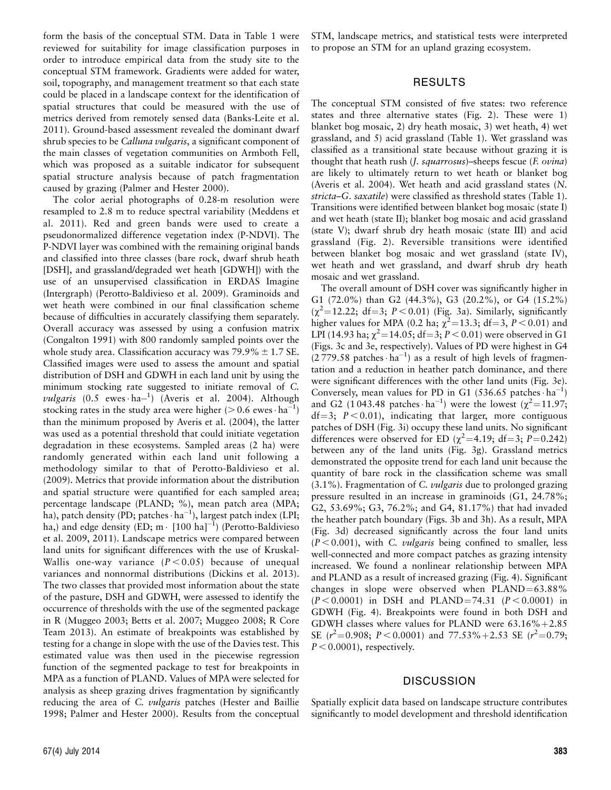form the basis of the conceptual STM. Data in Table 1 were reviewed for suitability for image classification purposes in order to introduce empirical data from the study site to the conceptual STM framework. Gradients were added for water, soil, topography, and management treatment so that each state could be placed in a landscape context for the identification of spatial structures that could be measured with the use of metrics derived from remotely sensed data (Banks-Leite et al. 2011). Ground-based assessment revealed the dominant dwarf shrub species to be *Calluna vulgaris*, a significant component of the main classes of vegetation communities on Armboth Fell, which was proposed as a suitable indicator for subsequent spatial structure analysis because of patch fragmentation caused by grazing (Palmer and Hester 2000).

The color aerial photographs of 0.28-m resolution were resampled to 2.8 m to reduce spectral variability (Meddens et al. 2011). Red and green bands were used to create a pseudonormalized difference vegetation index (P-NDVI). The P-NDVI layer was combined with the remaining original bands and classified into three classes (bare rock, dwarf shrub heath [DSH], and grassland/degraded wet heath [GDWH]) with the use of an unsupervised classification in ERDAS Imagine (Intergraph) (Perotto-Baldivieso et al. 2009). Graminoids and wet heath were combined in our final classification scheme because of difficulties in accurately classifying them separately. Overall accuracy was assessed by using a confusion matrix (Congalton 1991) with 800 randomly sampled points over the whole study area. Classification accuracy was  $79.9\% \pm 1.7$  SE. Classified images were used to assess the amount and spatial distribution of DSH and GDWH in each land unit by using the minimum stocking rate suggested to initiate removal of C. vulgaris (0.5 ewes ha-1) (Averis et al. 2004). Although stocking rates in the study area were higher ( $> 0.6$  ewes $\cdot$  ha<sup>-1</sup>) than the minimum proposed by Averis et al. (2004), the latter was used as a potential threshold that could initiate vegetation degradation in these ecosystems. Sampled areas (2 ha) were randomly generated within each land unit following a methodology similar to that of Perotto-Baldivieso et al. (2009). Metrics that provide information about the distribution and spatial structure were quantified for each sampled area; percentage landscape (PLAND; %), mean patch area (MPA; ha), patch density (PD; patches · ha<sup>-1</sup>), largest patch index (LPI; ha,) and edge density (ED; m  $\cdot$  [100 ha]<sup>-1</sup>) (Perotto-Baldivieso et al. 2009, 2011). Landscape metrics were compared between land units for significant differences with the use of Kruskal-Wallis one-way variance  $(P < 0.05)$  because of unequal variances and nonnormal distributions (Dickins et al. 2013). The two classes that provided most information about the state of the pasture, DSH and GDWH, were assessed to identify the occurrence of thresholds with the use of the segmented package in R (Muggeo 2003; Betts et al. 2007; Muggeo 2008; R Core Team 2013). An estimate of breakpoints was established by testing for a change in slope with the use of the Davies test. This estimated value was then used in the piecewise regression function of the segmented package to test for breakpoints in MPA as a function of PLAND. Values of MPA were selected for analysis as sheep grazing drives fragmentation by significantly reducing the area of C. *vulgaris* patches (Hester and Baillie 1998; Palmer and Hester 2000). Results from the conceptual STM, landscape metrics, and statistical tests were interpreted to propose an STM for an upland grazing ecosystem.

# RESULTS

The conceptual STM consisted of five states: two reference states and three alternative states (Fig. 2). These were 1) blanket bog mosaic, 2) dry heath mosaic, 3) wet heath, 4) wet grassland, and 5) acid grassland (Table 1). Wet grassland was classified as a transitional state because without grazing it is thought that heath rush (J. squarrosus)–sheeps fescue (F. ovina) are likely to ultimately return to wet heath or blanket bog (Averis et al. 2004). Wet heath and acid grassland states (N. stricta–G. saxatile) were classified as threshold states (Table 1). Transitions were identified between blanket bog mosaic (state I) and wet heath (state II); blanket bog mosaic and acid grassland (state V); dwarf shrub dry heath mosaic (state III) and acid grassland (Fig. 2). Reversible transitions were identified between blanket bog mosaic and wet grassland (state IV), wet heath and wet grassland, and dwarf shrub dry heath mosaic and wet grassland.

The overall amount of DSH cover was significantly higher in G1 (72.0%) than G2 (44.3%), G3 (20.2%), or G4 (15.2%)  $(\chi^2 = 12.22; df = 3; P < 0.01)$  (Fig. 3a). Similarly, significantly higher values for MPA (0.2 ha;  $\chi^2$  = 13.3; df = 3, P < 0.01) and LPI (14.93 ha;  $\chi^2$ =14.05; df=3; P < 0.01) were observed in G1 (Figs. 3c and 3e, respectively). Values of PD were highest in G4  $(2779.58 \text{ patches} \cdot \text{ha}^{-1})$  as a result of high levels of fragmentation and a reduction in heather patch dominance, and there were significant differences with the other land units (Fig. 3e). Conversely, mean values for PD in G1 (536.65 patches  $\cdot$  ha<sup>-1</sup>) and G2 (1043.48 patches  $\cdot$  ha<sup>-1</sup>) were the lowest ( $\chi^2$  = 11.97;  $df=3$ ;  $P < 0.01$ ), indicating that larger, more contiguous patches of DSH (Fig. 3i) occupy these land units. No significant differences were observed for ED  $(\chi^2=4.19; df=3; P=0.242)$ between any of the land units (Fig. 3g). Grassland metrics demonstrated the opposite trend for each land unit because the quantity of bare rock in the classification scheme was small  $(3.1\%)$ . Fragmentation of C. *vulgaris* due to prolonged grazing pressure resulted in an increase in graminoids (G1, 24.78%; G2, 53.69%; G3, 76.2%; and G4, 81.17%) that had invaded the heather patch boundary (Figs. 3b and 3h). As a result, MPA (Fig. 3d) decreased significantly across the four land units  $(P < 0.001)$ , with C. *vulgaris* being confined to smaller, less well-connected and more compact patches as grazing intensity increased. We found a nonlinear relationship between MPA and PLAND as a result of increased grazing (Fig. 4). Significant changes in slope were observed when  $PLAND = 63.88\%$  $(P < 0.0001)$  in DSH and PLAND=74.31 (P < 0.0001) in GDWH (Fig. 4). Breakpoints were found in both DSH and GDWH classes where values for PLAND were  $63.16\% + 2.85$ SE ( $r^2$ =0.908; P < 0.0001) and 77.53% + 2.53 SE ( $r^2$ =0.79;  $P < 0.0001$ ), respectively.

## **DISCUSSION**

Spatially explicit data based on landscape structure contributes significantly to model development and threshold identification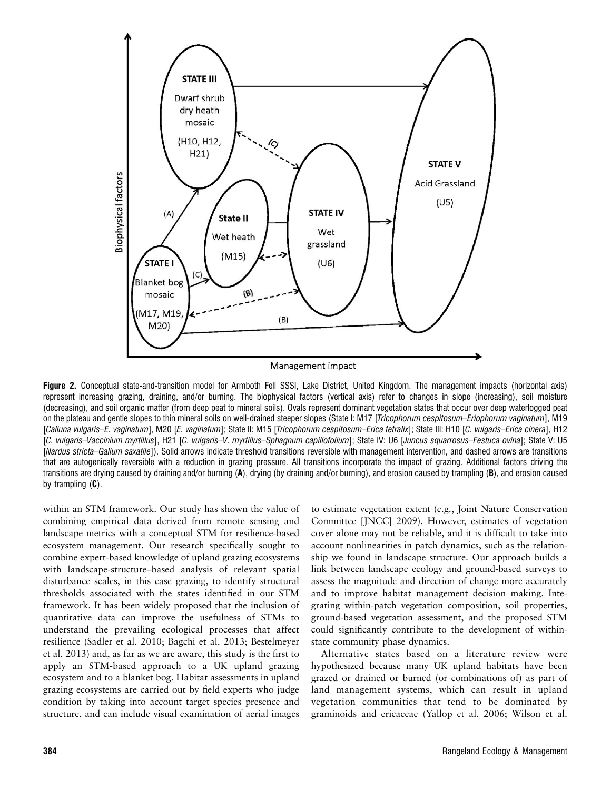

Figure 2. Conceptual state-and-transition model for Armboth Fell SSSI, Lake District, United Kingdom. The management impacts (horizontal axis) represent increasing grazing, draining, and/or burning. The biophysical factors (vertical axis) refer to changes in slope (increasing), soil moisture (decreasing), and soil organic matter (from deep peat to mineral soils). Ovals represent dominant vegetation states that occur over deep waterlogged peat on the plateau and gentle slopes to thin mineral soils on well-drained steeper slopes (State I: M17 [Tricophorum cespitosum–Eriophorum vaginatum], M19 [Calluna vulgaris–E. vaginatum], M20 [E. vaginatum]; State II: M15 [Tricophorum cespitosum–Erica tetralix]; State III: H10 [C. vulgaris–Erica cinera], H12 [C. vulgaris–Vaccinium myrtillus], H21 [C. vulgaris–V. myrtillus–Sphagnum capillofolium]; State IV: U6 [Juncus squarrosus–Festuca ovina]; State V: U5 [Nardus stricta–Galium saxatile]). Solid arrows indicate threshold transitions reversible with management intervention, and dashed arrows are transitions that are autogenically reversible with a reduction in grazing pressure. All transitions incorporate the impact of grazing. Additional factors driving the transitions are drying caused by draining and/or burning (A), drying (by draining and/or burning), and erosion caused by trampling (B), and erosion caused by trampling  $(C)$ .

within an STM framework. Our study has shown the value of combining empirical data derived from remote sensing and landscape metrics with a conceptual STM for resilience-based ecosystem management. Our research specifically sought to combine expert-based knowledge of upland grazing ecosystems with landscape-structure–based analysis of relevant spatial disturbance scales, in this case grazing, to identify structural thresholds associated with the states identified in our STM framework. It has been widely proposed that the inclusion of quantitative data can improve the usefulness of STMs to understand the prevailing ecological processes that affect resilience (Sadler et al. 2010; Bagchi et al. 2013; Bestelmeyer et al. 2013) and, as far as we are aware, this study is the first to apply an STM-based approach to a UK upland grazing ecosystem and to a blanket bog. Habitat assessments in upland grazing ecosystems are carried out by field experts who judge condition by taking into account target species presence and structure, and can include visual examination of aerial images

to estimate vegetation extent (e.g., Joint Nature Conservation Committee [JNCC] 2009). However, estimates of vegetation cover alone may not be reliable, and it is difficult to take into account nonlinearities in patch dynamics, such as the relationship we found in landscape structure. Our approach builds a link between landscape ecology and ground-based surveys to assess the magnitude and direction of change more accurately and to improve habitat management decision making. Integrating within-patch vegetation composition, soil properties, ground-based vegetation assessment, and the proposed STM could significantly contribute to the development of withinstate community phase dynamics.

Alternative states based on a literature review were hypothesized because many UK upland habitats have been grazed or drained or burned (or combinations of) as part of land management systems, which can result in upland vegetation communities that tend to be dominated by graminoids and ericaceae (Yallop et al. 2006; Wilson et al.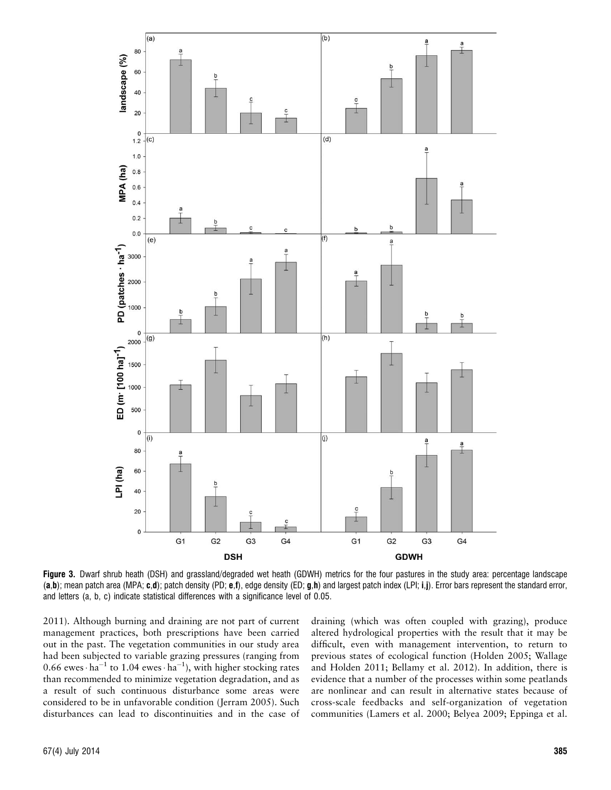

Figure 3. Dwarf shrub heath (DSH) and grassland/degraded wet heath (GDWH) metrics for the four pastures in the study area: percentage landscape (a,b); mean patch area (MPA; c,d); patch density (PD; e,f), edge density (ED; g,h) and largest patch index (LPI; i,j). Error bars represent the standard error, and letters (a, b, c) indicate statistical differences with a significance level of 0.05.

2011). Although burning and draining are not part of current management practices, both prescriptions have been carried out in the past. The vegetation communities in our study area had been subjected to variable grazing pressures (ranging from 0.66 ewes  $\cdot$  ha<sup>-1</sup> to 1.04 ewes  $\cdot$  ha<sup>-1</sup>), with higher stocking rates than recommended to minimize vegetation degradation, and as a result of such continuous disturbance some areas were considered to be in unfavorable condition (Jerram 2005). Such disturbances can lead to discontinuities and in the case of draining (which was often coupled with grazing), produce altered hydrological properties with the result that it may be difficult, even with management intervention, to return to previous states of ecological function (Holden 2005; Wallage and Holden 2011; Bellamy et al. 2012). In addition, there is evidence that a number of the processes within some peatlands are nonlinear and can result in alternative states because of cross-scale feedbacks and self-organization of vegetation communities (Lamers et al. 2000; Belyea 2009; Eppinga et al.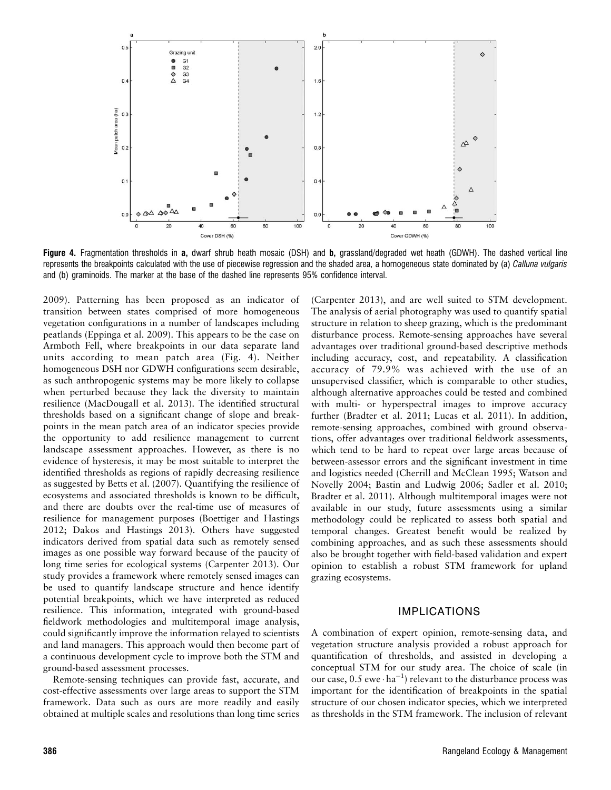

Figure 4. Fragmentation thresholds in a, dwarf shrub heath mosaic (DSH) and b, grassland/degraded wet heath (GDWH). The dashed vertical line represents the breakpoints calculated with the use of piecewise regression and the shaded area, a homogeneous state dominated by (a) Calluna vulgaris and (b) graminoids. The marker at the base of the dashed line represents 95% confidence interval.

2009). Patterning has been proposed as an indicator of transition between states comprised of more homogeneous vegetation configurations in a number of landscapes including peatlands (Eppinga et al. 2009). This appears to be the case on Armboth Fell, where breakpoints in our data separate land units according to mean patch area (Fig. 4). Neither homogeneous DSH nor GDWH configurations seem desirable, as such anthropogenic systems may be more likely to collapse when perturbed because they lack the diversity to maintain resilience (MacDougall et al. 2013). The identified structural thresholds based on a significant change of slope and breakpoints in the mean patch area of an indicator species provide the opportunity to add resilience management to current landscape assessment approaches. However, as there is no evidence of hysteresis, it may be most suitable to interpret the identified thresholds as regions of rapidly decreasing resilience as suggested by Betts et al. (2007). Quantifying the resilience of ecosystems and associated thresholds is known to be difficult, and there are doubts over the real-time use of measures of resilience for management purposes (Boettiger and Hastings 2012; Dakos and Hastings 2013). Others have suggested indicators derived from spatial data such as remotely sensed images as one possible way forward because of the paucity of long time series for ecological systems (Carpenter 2013). Our study provides a framework where remotely sensed images can be used to quantify landscape structure and hence identify potential breakpoints, which we have interpreted as reduced resilience. This information, integrated with ground-based fieldwork methodologies and multitemporal image analysis, could significantly improve the information relayed to scientists and land managers. This approach would then become part of a continuous development cycle to improve both the STM and ground-based assessment processes.

Remote-sensing techniques can provide fast, accurate, and cost-effective assessments over large areas to support the STM framework. Data such as ours are more readily and easily obtained at multiple scales and resolutions than long time series

(Carpenter 2013), and are well suited to STM development. The analysis of aerial photography was used to quantify spatial structure in relation to sheep grazing, which is the predominant disturbance process. Remote-sensing approaches have several advantages over traditional ground-based descriptive methods including accuracy, cost, and repeatability. A classification accuracy of 79.9% was achieved with the use of an unsupervised classifier, which is comparable to other studies, although alternative approaches could be tested and combined with multi- or hyperspectral images to improve accuracy further (Bradter et al. 2011; Lucas et al. 2011). In addition, remote-sensing approaches, combined with ground observations, offer advantages over traditional fieldwork assessments, which tend to be hard to repeat over large areas because of between-assessor errors and the significant investment in time and logistics needed (Cherrill and McClean 1995; Watson and Novelly 2004; Bastin and Ludwig 2006; Sadler et al. 2010; Bradter et al. 2011). Although multitemporal images were not available in our study, future assessments using a similar methodology could be replicated to assess both spatial and temporal changes. Greatest benefit would be realized by combining approaches, and as such these assessments should also be brought together with field-based validation and expert opinion to establish a robust STM framework for upland grazing ecosystems.

### IMPLICATIONS

A combination of expert opinion, remote-sensing data, and vegetation structure analysis provided a robust approach for quantification of thresholds, and assisted in developing a conceptual STM for our study area. The choice of scale (in our case,  $0.5$  ewe $\cdot$  ha<sup>-1</sup>) relevant to the disturbance process was important for the identification of breakpoints in the spatial structure of our chosen indicator species, which we interpreted as thresholds in the STM framework. The inclusion of relevant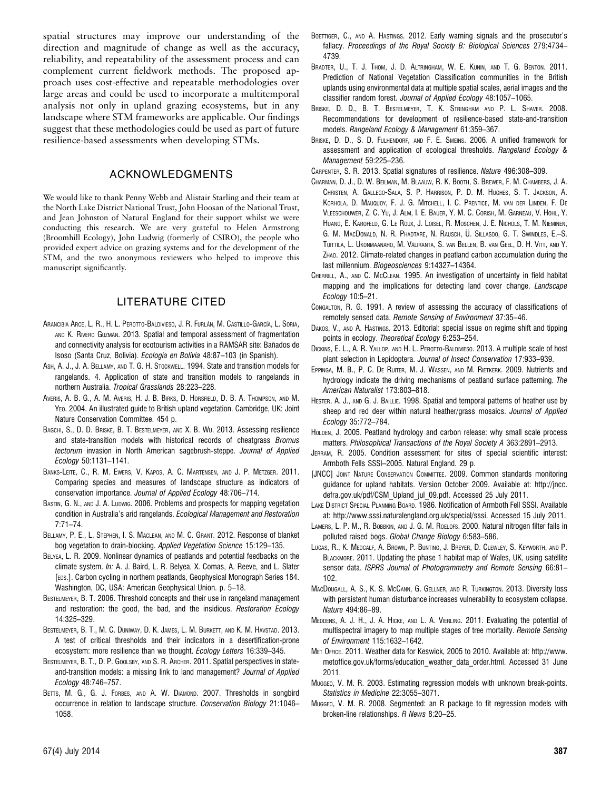spatial structures may improve our understanding of the direction and magnitude of change as well as the accuracy, reliability, and repeatability of the assessment process and can complement current fieldwork methods. The proposed approach uses cost-effective and repeatable methodologies over large areas and could be used to incorporate a multitemporal analysis not only in upland grazing ecosystems, but in any landscape where STM frameworks are applicable. Our findings suggest that these methodologies could be used as part of future resilience-based assessments when developing STMs.

### ACKNOWLEDGMENTS

We would like to thank Penny Webb and Alistair Starling and their team at the North Lake District National Trust, John Hoosan of the National Trust, and Jean Johnston of Natural England for their support whilst we were conducting this research. We are very grateful to Helen Armstrong (Broomhill Ecology), John Ludwig (formerly of CSIRO), the people who provided expert advice on grazing systems and for the development of the STM, and the two anonymous reviewers who helped to improve this manuscript significantly.

# LITERATURE CITED

- ARANCIBIA ARCE, L. R., H. L. PEROTTO-BALDIVIESO, J. R. FURLÁN, M. CASTILLO-GARCÍA, L. SORIA, AND K. RIVERO GUZMÁN. 2013. Spatial and temporal assessment of fragmentation and connectivity analysis for ecotourism activities in a RAMSAR site: Bañados de Isoso (Santa Cruz, Bolivia). Ecología en Bolivia 48:87-103 (in Spanish).
- ASH, A. J., J. A. BELLAMY, AND T. G. H. STOCKWELL. 1994. State and transition models for rangelands. 4. Application of state and transition models to rangelands in northern Australia. Tropical Grasslands 28:223–228.
- AVERIS, A. B. G., A. M. AVERIS, H. J. B. BIRKS, D. HORSFIELD, D. B. A. THOMPSON, AND M. YEO. 2004. An illustrated guide to British upland vegetation. Cambridge, UK: Joint Nature Conservation Committee. 454 p.
- BAGCHI, S., D. D. BRISKE, B. T. BESTELMEYER, AND X. B. WU. 2013. Assessing resilience and state-transition models with historical records of cheatgrass Bromus tectorum invasion in North American sagebrush-steppe. Journal of Applied Ecology 50:1131–1141.
- BANKS-LEITE, C., R. M. EWERS, V. KAPOS, A. C. MARTENSEN, AND J. P. METZGER. 2011. Comparing species and measures of landscape structure as indicators of conservation importance. Journal of Applied Ecology 48:706–714.
- BASTIN, G. N., AND J. A. LUDWIG. 2006. Problems and prospects for mapping vegetation condition in Australia's arid rangelands. Ecological Management and Restoration 7:71–74.
- BELLAMY, P. E., L. STEPHEN, I. S. MACLEAN, AND M. C. GRANT. 2012. Response of blanket bog vegetation to drain-blocking. Applied Vegetation Science 15:129–135.
- BELYEA, L. R. 2009. Nonlinear dynamics of peatlands and potential feedbacks on the climate system. In: A. J. Baird, L. R. Belyea, X. Comas, A. Reeve, and L. Slater [EDS.]. Carbon cycling in northern peatlands, Geophysical Monograph Series 184. Washington, DC, USA: American Geophysical Union. p. 5–18.
- BESTELMEYER, B. T. 2006. Threshold concepts and their use in rangeland management and restoration: the good, the bad, and the insidious. Restoration Ecology 14:325–329.
- BESTELMEYER, B. T., M. C. DUNIWAY, D. K. JAMES, L. M. BURKETT, AND K. M. HAVSTAD. 2013. A test of critical thresholds and their indicators in a desertification-prone ecosystem: more resilience than we thought. Ecology Letters 16:339–345.
- BESTELMEYER, B. T., D. P. GOOLSBY, AND S. R. ARCHER. 2011. Spatial perspectives in stateand-transition models: a missing link to land management? Journal of Applied Ecology 48:746–757.
- BETTS, M. G., G. J. FORBES, AND A. W. DIAMOND. 2007. Thresholds in songbird occurrence in relation to landscape structure. Conservation Biology 21:1046– 1058.
- BOETTIGER, C., AND A. HASTINGS. 2012. Early warning signals and the prosecutor's fallacy. Proceedings of the Royal Society B: Biological Sciences 279:4734– 4739.
- BRADTER, U., T. J. THOM, J. D. ALTRINGHAM, W. E. KUNIN, AND T. G. BENTON. 2011. Prediction of National Vegetation Classification communities in the British uplands using environmental data at multiple spatial scales, aerial images and the classifier random forest. Journal of Applied Ecology 48:1057–1065.
- BRISKE, D. D., B. T. BESTELMEYER, T. K. STRINGHAM AND P. L. SHAVER. 2008. Recommendations for development of resilience-based state-and-transition models. Rangeland Ecology & Management 61:359–367.
- BRISKE, D. D., S. D. FULHENDORF, AND F. E. SMEINS. 2006. A unified framework for assessment and application of ecological thresholds. Rangeland Ecology & Management 59:225–236.
- CARPENTER, S. R. 2013. Spatial signatures of resilience. Nature 496:308–309.
- CHARMAN, D. J., D. W. BEILMAN, M. BLAAUW, R. K. BOOTH, S. BREWER, F. M. CHAMBERS, J. A. CHRISTEN, A. GALLEGO-SALA, S. P. HARRISON, P. D. M. HUGHES, S. T. JACKSON, A. KORHOLA, D. MAUQUOY, F. J. G. MITCHELL, I. C. PRENTICE, M. VAN DER LINDEN, F. DE VLEESCHOUWER, Z. C. YU, J. ALM, I. E. BAUER, Y. M. C. CORISH, M. GARNEAU, V. HOHL, Y. HUANG, E. KAROFELD, G. LE ROUX, J. LOISEL, R. MOSCHEN, J. E. NICHOLS, T. M. NIEMINEN, G. M. MACDONALD, N. R. PHADTARE, N. RAUSCH, Ü. SILLASOO, G. T. SWINDLES, E.-S. TUITTILA, L. UKONMAANAHO, M. VÄLIRANTA, S. VAN BELLEN, B. VAN GEEL, D. H. VITT, AND Y. ZHAO. 2012. Climate-related changes in peatland carbon accumulation during the last millennium. Biogeosciences 9:14327–14364.
- CHERRILL, A., AND C. MCCLEAN. 1995. An investigation of uncertainty in field habitat mapping and the implications for detecting land cover change. Landscape Ecology 10:5–21.
- CONGALTON, R. G. 1991. A review of assessing the accuracy of classifications of remotely sensed data. Remote Sensing of Environment 37:35–46.
- DAKOS, V., AND A. HASTINGS. 2013. Editorial: special issue on regime shift and tipping points in ecology. Theoretical Ecology 6:253–254.
- DICKINS, E. L., A. R. YALLOP, AND H. L. PEROTTO-BALDIVIESO. 2013. A multiple scale of host plant selection in Lepidoptera. Journal of Insect Conservation 17:933–939.
- EPPINGA, M. B., P. C. DE RUITER, M. J. WASSEN, AND M. RIETKERK. 2009. Nutrients and hydrology indicate the driving mechanisms of peatland surface patterning. The American Naturalist 173:803–818.
- HESTER, A. J., AND G. J. BAILLIE. 1998. Spatial and temporal patterns of heather use by sheep and red deer within natural heather/grass mosaics. Journal of Applied Ecology 35:772–784.
- HOLDEN, J. 2005. Peatland hydrology and carbon release: why small scale process matters. Philosophical Transactions of the Royal Society A 363:2891–2913.
- JERRAM, R. 2005. Condition assessment for sites of special scientific interest: Armboth Fells SSSI–2005. Natural England. 29 p.
- [JNCC] JOINT NATURE CONSERVATION COMMITTEE. 2009. Common standards monitoring guidance for upland habitats. Version October 2009. Available at: http://jncc. defra.gov.uk/pdf/CSM\_Upland\_jul\_09.pdf. Accessed 25 July 2011.
- LAKE DISTRICT SPECIAL PLANNING BOARD. 1986. Notification of Armboth Fell SSSI. Available at: http://www.sssi.naturalengland.org.uk/special/sssi. Accessed 15 July 2011.
- LAMERS, L. P. M., R. BOBBKIN, AND J. G. M. ROELOFS. 2000. Natural nitrogen filter fails in polluted raised bogs. Global Change Biology 6:583–586.
- LUCAS, R., K. MEDCALF, A. BROWN, P. BUNTING, J. BREYER, D. CLEWLEY, S. KEYWORTH, AND P. BLACKMORE. 2011. Updating the phase 1 habitat map of Wales, UK, using satellite sensor data. ISPRS Journal of Photogrammetry and Remote Sensing 66:81– 102.
- MACDOUGALL, A. S., K. S. MCCANN, G. GELLNER, AND R. TURKINGTON. 2013. Diversity loss with persistent human disturbance increases vulnerability to ecosystem collapse. Nature 494:86–89.
- MEDDENS, A. J. H., J. A. HICKE, AND L. A. VIERLING. 2011. Evaluating the potential of multispectral imagery to map multiple stages of tree mortality. Remote Sensing of Environment 115:1632–1642.
- MET OFFICE. 2011. Weather data for Keswick, 2005 to 2010. Available at: http://www. metoffice.gov.uk/forms/education\_weather\_data\_order.html. Accessed 31 June 2011.
- MUGGEO, V. M. R. 2003. Estimating regression models with unknown break-points. Statistics in Medicine 22:3055–3071.
- MUGGEO, V. M. R. 2008. Segmented: an R package to fit regression models with broken-line relationships. R News 8:20–25.